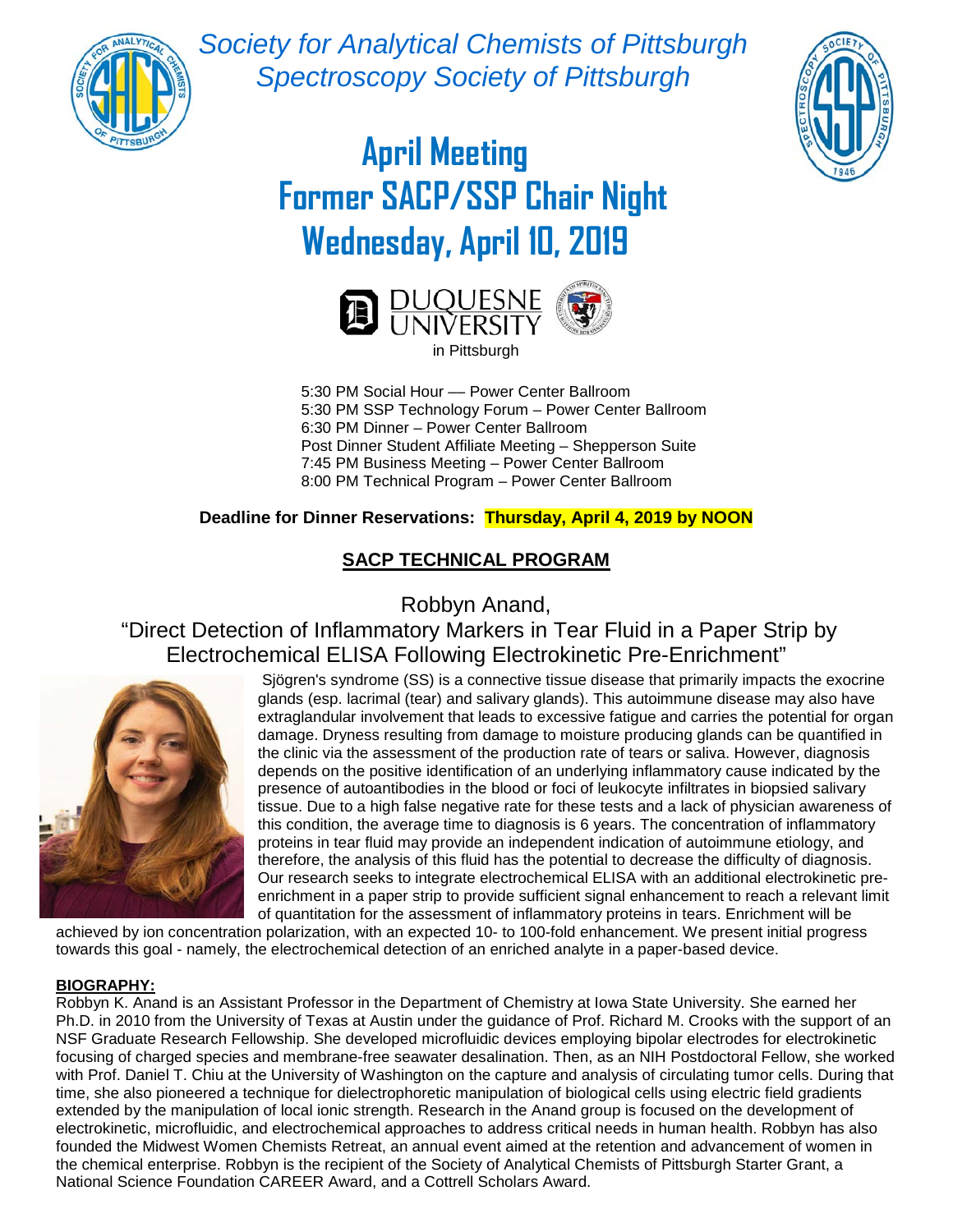

*Society for Analytical Chemists of Pittsburgh Spectroscopy Society of Pittsburgh*



# **April Meeting Former SACP/SSP Chair Night Wednesday, April 10, 2019**



5:30 PM Social Hour - Power Center Ballroom 5:30 PM SSP Technology Forum – Power Center Ballroom 6:30 PM Dinner – Power Center Ballroom Post Dinner Student Affiliate Meeting – Shepperson Suite 7:45 PM Business Meeting – Power Center Ballroom 8:00 PM Technical Program – Power Center Ballroom

### **Deadline for Dinner Reservations: Thursday, April 4, 2019 by NOON**

## **SACP TECHNICAL PROGRAM**

Robbyn Anand,

"Direct Detection of Inflammatory Markers in Tear Fluid in a Paper Strip by Electrochemical ELISA Following Electrokinetic Pre-Enrichment"



Sjögren's syndrome (SS) is a connective tissue disease that primarily impacts the exocrine glands (esp. lacrimal (tear) and salivary glands). This autoimmune disease may also have extraglandular involvement that leads to excessive fatigue and carries the potential for organ damage. Dryness resulting from damage to moisture producing glands can be quantified in the clinic via the assessment of the production rate of tears or saliva. However, diagnosis depends on the positive identification of an underlying inflammatory cause indicated by the presence of autoantibodies in the blood or foci of leukocyte infiltrates in biopsied salivary tissue. Due to a high false negative rate for these tests and a lack of physician awareness of this condition, the average time to diagnosis is 6 years. The concentration of inflammatory proteins in tear fluid may provide an independent indication of autoimmune etiology, and therefore, the analysis of this fluid has the potential to decrease the difficulty of diagnosis. Our research seeks to integrate electrochemical ELISA with an additional electrokinetic preenrichment in a paper strip to provide sufficient signal enhancement to reach a relevant limit of quantitation for the assessment of inflammatory proteins in tears. Enrichment will be

achieved by ion concentration polarization, with an expected 10- to 100-fold enhancement. We present initial progress towards this goal - namely, the electrochemical detection of an enriched analyte in a paper-based device.

#### **BIOGRAPHY:**

Robbyn K. Anand is an Assistant Professor in the Department of Chemistry at Iowa State University. She earned her Ph.D. in 2010 from the University of Texas at Austin under the guidance of Prof. Richard M. Crooks with the support of an NSF Graduate Research Fellowship. She developed microfluidic devices employing bipolar electrodes for electrokinetic focusing of charged species and membrane-free seawater desalination. Then, as an NIH Postdoctoral Fellow, she worked with Prof. Daniel T. Chiu at the University of Washington on the capture and analysis of circulating tumor cells. During that time, she also pioneered a technique for dielectrophoretic manipulation of biological cells using electric field gradients extended by the manipulation of local ionic strength. Research in the Anand group is focused on the development of electrokinetic, microfluidic, and electrochemical approaches to address critical needs in human health. Robbyn has also founded the Midwest Women Chemists Retreat, an annual event aimed at the retention and advancement of women in the chemical enterprise. Robbyn is the recipient of the Society of Analytical Chemists of Pittsburgh Starter Grant, a National Science Foundation CAREER Award, and a Cottrell Scholars Award.